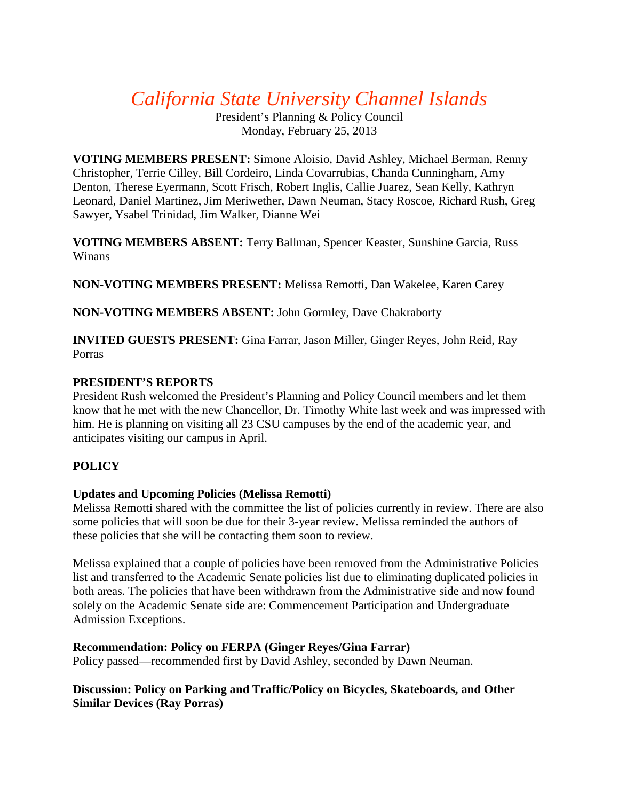# *California State University Channel Islands*

President's Planning & Policy Council Monday, February 25, 2013

**VOTING MEMBERS PRESENT:** Simone Aloisio, David Ashley, Michael Berman, Renny Christopher, Terrie Cilley, Bill Cordeiro, Linda Covarrubias, Chanda Cunningham, Amy Denton, Therese Eyermann, Scott Frisch, Robert Inglis, Callie Juarez, Sean Kelly, Kathryn Leonard, Daniel Martinez, Jim Meriwether, Dawn Neuman, Stacy Roscoe, Richard Rush, Greg Sawyer, Ysabel Trinidad, Jim Walker, Dianne Wei

**VOTING MEMBERS ABSENT:** Terry Ballman, Spencer Keaster, Sunshine Garcia, Russ Winans

**NON-VOTING MEMBERS PRESENT:** Melissa Remotti, Dan Wakelee, Karen Carey

**NON-VOTING MEMBERS ABSENT:** John Gormley, Dave Chakraborty

**INVITED GUESTS PRESENT:** Gina Farrar, Jason Miller, Ginger Reyes, John Reid, Ray Porras

#### **PRESIDENT'S REPORTS**

President Rush welcomed the President's Planning and Policy Council members and let them know that he met with the new Chancellor, Dr. Timothy White last week and was impressed with him. He is planning on visiting all 23 CSU campuses by the end of the academic year, and anticipates visiting our campus in April.

## **POLICY**

#### **Updates and Upcoming Policies (Melissa Remotti)**

Melissa Remotti shared with the committee the list of policies currently in review. There are also some policies that will soon be due for their 3-year review. Melissa reminded the authors of these policies that she will be contacting them soon to review.

Melissa explained that a couple of policies have been removed from the Administrative Policies list and transferred to the Academic Senate policies list due to eliminating duplicated policies in both areas. The policies that have been withdrawn from the Administrative side and now found solely on the Academic Senate side are: Commencement Participation and Undergraduate Admission Exceptions.

#### **Recommendation: Policy on FERPA (Ginger Reyes/Gina Farrar)**

Policy passed—recommended first by David Ashley, seconded by Dawn Neuman.

#### **Discussion: Policy on Parking and Traffic/Policy on Bicycles, Skateboards, and Other Similar Devices (Ray Porras)**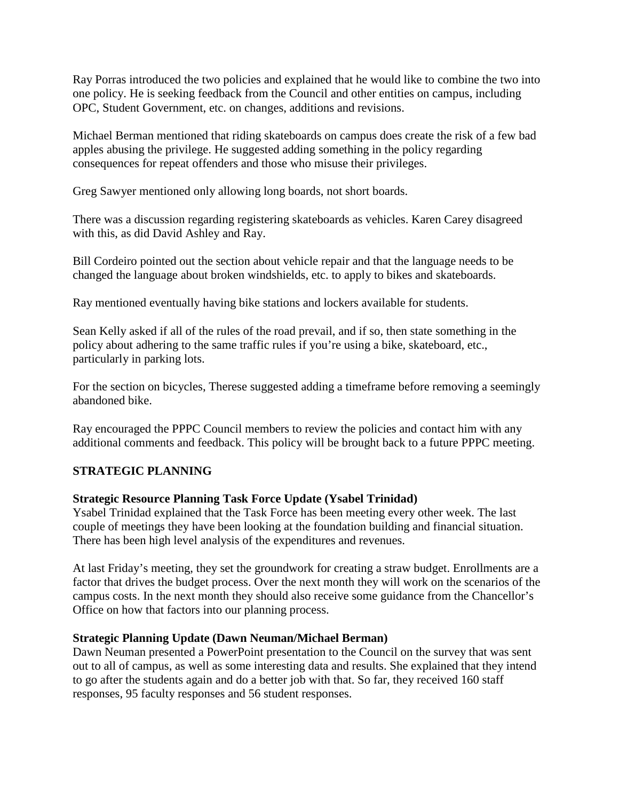Ray Porras introduced the two policies and explained that he would like to combine the two into one policy. He is seeking feedback from the Council and other entities on campus, including OPC, Student Government, etc. on changes, additions and revisions.

Michael Berman mentioned that riding skateboards on campus does create the risk of a few bad apples abusing the privilege. He suggested adding something in the policy regarding consequences for repeat offenders and those who misuse their privileges.

Greg Sawyer mentioned only allowing long boards, not short boards.

There was a discussion regarding registering skateboards as vehicles. Karen Carey disagreed with this, as did David Ashley and Ray.

Bill Cordeiro pointed out the section about vehicle repair and that the language needs to be changed the language about broken windshields, etc. to apply to bikes and skateboards.

Ray mentioned eventually having bike stations and lockers available for students.

Sean Kelly asked if all of the rules of the road prevail, and if so, then state something in the policy about adhering to the same traffic rules if you're using a bike, skateboard, etc., particularly in parking lots.

For the section on bicycles, Therese suggested adding a timeframe before removing a seemingly abandoned bike.

Ray encouraged the PPPC Council members to review the policies and contact him with any additional comments and feedback. This policy will be brought back to a future PPPC meeting.

# **STRATEGIC PLANNING**

## **Strategic Resource Planning Task Force Update (Ysabel Trinidad)**

Ysabel Trinidad explained that the Task Force has been meeting every other week. The last couple of meetings they have been looking at the foundation building and financial situation. There has been high level analysis of the expenditures and revenues.

At last Friday's meeting, they set the groundwork for creating a straw budget. Enrollments are a factor that drives the budget process. Over the next month they will work on the scenarios of the campus costs. In the next month they should also receive some guidance from the Chancellor's Office on how that factors into our planning process.

#### **Strategic Planning Update (Dawn Neuman/Michael Berman)**

Dawn Neuman presented a PowerPoint presentation to the Council on the survey that was sent out to all of campus, as well as some interesting data and results. She explained that they intend to go after the students again and do a better job with that. So far, they received 160 staff responses, 95 faculty responses and 56 student responses.